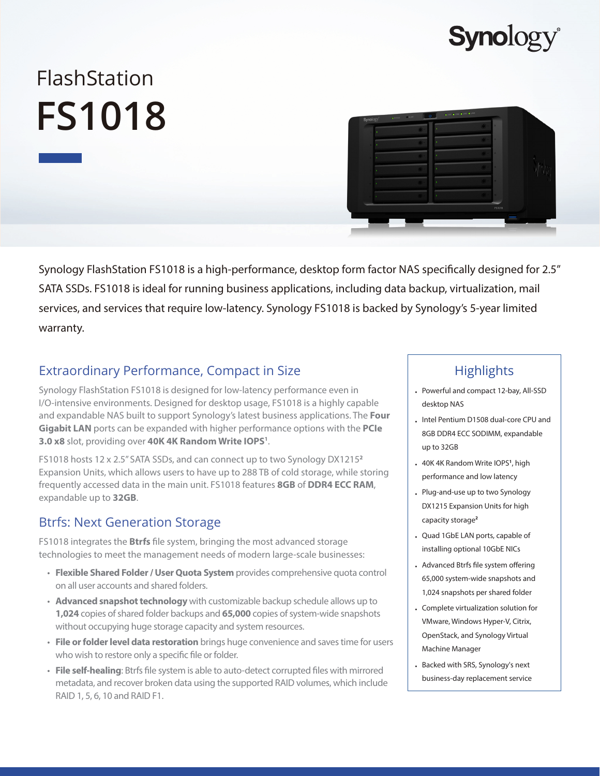## **Synolog**

# FlashStation **FS1018**



Synology FlashStation FS1018 is a high-performance, desktop form factor NAS specifically designed for 2.5" SATA SSDs. FS1018 is ideal for running business applications, including data backup, virtualization, mail services, and services that require low-latency. Synology FS1018 is backed by Synology's 5-year limited warranty.

## Extraordinary Performance, Compact in Size

Synology FlashStation FS1018 is designed for low-latency performance even in I/O-intensive environments. Designed for desktop usage, FS1018 is a highly capable and expandable NAS built to support Synology's latest business applications. The **Four Gigabit LAN** ports can be expanded with higher performance options with the **PCIe 3.0 x8** slot, providing over **40K 4K Random Write IOPS1** .

FS1018 hosts 12 x 2.5" SATA SSDs, and can connect up to two Synology DX1215**<sup>2</sup>** Expansion Units, which allows users to have up to 288 TB of cold storage, while storing frequently accessed data in the main unit. FS1018 features **8GB** of **DDR4 ECC RAM**, expandable up to **32GB**.

#### Btrfs: Next Generation Storage

FS1018 integrates the **Btrfs** file system, bringing the most advanced storage technologies to meet the management needs of modern large-scale businesses:

- **Flexible Shared Folder / User Quota System** provides comprehensive quota control on all user accounts and shared folders.
- **Advanced snapshot technology** with customizable backup schedule allows up to **1,024** copies of shared folder backups and **65,000** copies of system-wide snapshots without occupying huge storage capacity and system resources.
- **File or folder level data restoration** brings huge convenience and saves time for users who wish to restore only a specific file or folder.
- **File self-healing**: Btrfs file system is able to auto-detect corrupted files with mirrored metadata, and recover broken data using the supported RAID volumes, which include RAID 1, 5, 6, 10 and RAID F1.

## **Highlights**

- Powerful and compact 12-bay, All-SSD desktop NAS
- Intel Pentium D1508 dual-core CPU and 8GB DDR4 ECC SODIMM, expandable up to 32GB
- 40K 4K Random Write IOPS**<sup>1</sup>** , high performance and low latency
- Plug-and-use up to two Synology DX1215 Expansion Units for high capacity storage**<sup>2</sup>**
- Quad 1GbE LAN ports, capable of installing optional 10GbE NICs
- Advanced Btrfs file system offering 65,000 system-wide snapshots and 1,024 snapshots per shared folder
- Complete virtualization solution for VMware, Windows Hyper-V, Citrix, OpenStack, and Synology Virtual Machine Manager
- Backed with SRS, Synology's next business-day replacement service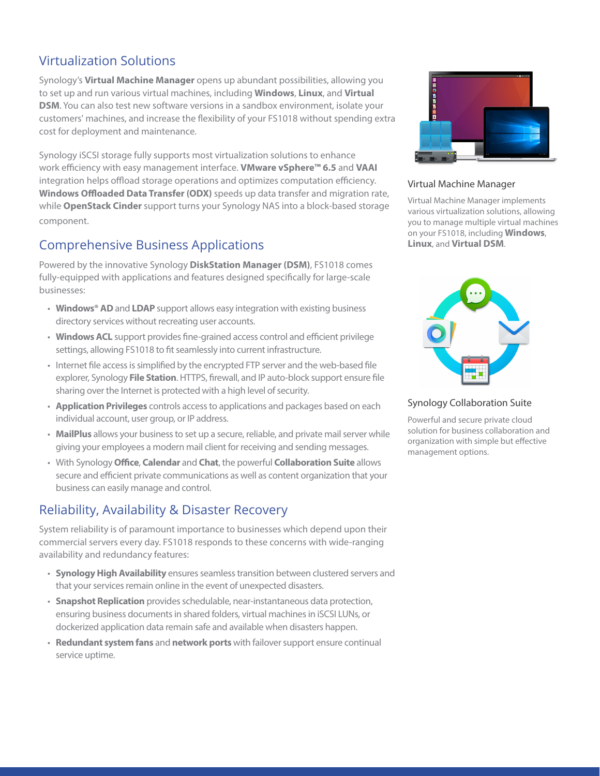## Virtualization Solutions

Synology's **Virtual Machine Manager** opens up abundant possibilities, allowing you to set up and run various virtual machines, including **Windows**, **Linux**, and **Virtual DSM**. You can also test new software versions in a sandbox environment, isolate your customers' machines, and increase the flexibility of your FS1018 without spending extra cost for deployment and maintenance.

Synology iSCSI storage fully supports most virtualization solutions to enhance work efficiency with easy management interface. **VMware vSphere™ 6.5** and **VAAI** integration helps offload storage operations and optimizes computation efficiency. **Windows Offloaded Data Transfer (ODX)** speeds up data transfer and migration rate, while **OpenStack Cinder** support turns your Synology NAS into a block-based storage component.

#### Comprehensive Business Applications

Powered by the innovative Synology **DiskStation Manager (DSM)**, FS1018 comes fully-equipped with applications and features designed specifically for large-scale businesses:

- **Windows® AD** and **LDAP** support allows easy integration with existing business directory services without recreating user accounts.
- **Windows ACL** support provides fine-grained access control and efficient privilege settings, allowing FS1018 to fit seamlessly into current infrastructure.
- Internet file access is simplified by the encrypted FTP server and the web-based file explorer, Synology **File Station**. HTTPS, firewall, and IP auto-block support ensure file sharing over the Internet is protected with a high level of security.
- **Application Privileges** controls access to applications and packages based on each individual account, user group, or IP address.
- **MailPlus** allows your business to set up a secure, reliable, and private mail server while giving your employees a modern mail client for receiving and sending messages.
- With Synology **Office**, **Calendar** and **Chat**, the powerful **Collaboration Suite** allows secure and efficient private communications as well as content organization that your business can easily manage and control.

## Reliability, Availability & Disaster Recovery

System reliability is of paramount importance to businesses which depend upon their commercial servers every day. FS1018 responds to these concerns with wide-ranging availability and redundancy features:

- **Synology High Availability** ensures seamless transition between clustered servers and that your services remain online in the event of unexpected disasters.
- **Snapshot Replication** provides schedulable, near-instantaneous data protection, ensuring business documents in shared folders, virtual machines in iSCSI LUNs, or dockerized application data remain safe and available when disasters happen.
- **Redundant system fans** and **network ports** with failover support ensure continual service uptime.



#### Virtual Machine Manager

Virtual Machine Manager implements various virtualization solutions, allowing you to manage multiple virtual machines on your FS1018, including **Windows**, **Linux**, and **Virtual DSM**.



Synology Collaboration Suite

Powerful and secure private cloud solution for business collaboration and organization with simple but effective management options.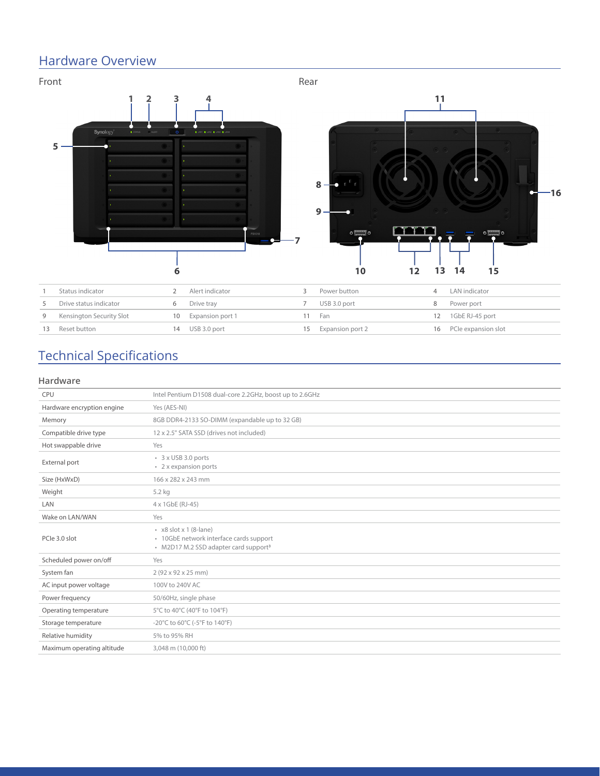## Hardware Overview



## Technical Specifications

#### **Hardware**

| <b>CPU</b>                 | Intel Pentium D1508 dual-core 2.2GHz, boost up to 2.6GHz                                                                     |  |  |  |  |
|----------------------------|------------------------------------------------------------------------------------------------------------------------------|--|--|--|--|
| Hardware encryption engine | Yes (AES-NI)                                                                                                                 |  |  |  |  |
| Memory                     | 8GB DDR4-2133 SO-DIMM (expandable up to 32 GB)                                                                               |  |  |  |  |
| Compatible drive type      | 12 x 2.5" SATA SSD (drives not included)                                                                                     |  |  |  |  |
| Hot swappable drive        | Yes                                                                                                                          |  |  |  |  |
| External port              | 3 x USB 3.0 ports<br>• 2 x expansion ports                                                                                   |  |  |  |  |
| Size (HxWxD)               | 166 x 282 x 243 mm                                                                                                           |  |  |  |  |
| Weight                     | 5.2 kg                                                                                                                       |  |  |  |  |
| LAN                        | 4 x 1GbE (RJ-45)                                                                                                             |  |  |  |  |
| Wake on LAN/WAN            | Yes                                                                                                                          |  |  |  |  |
| PCle 3.0 slot              | $\cdot$ x8 slot x 1 (8-lane)<br>· 10GbE network interface cards support<br>• M2D17 M.2 SSD adapter card support <sup>3</sup> |  |  |  |  |
| Scheduled power on/off     | Yes                                                                                                                          |  |  |  |  |
| System fan                 | 2 (92 x 92 x 25 mm)                                                                                                          |  |  |  |  |
| AC input power voltage     | 100V to 240V AC                                                                                                              |  |  |  |  |
| Power frequency            | 50/60Hz, single phase                                                                                                        |  |  |  |  |
| Operating temperature      | 5°C to 40°C (40°F to 104°F)                                                                                                  |  |  |  |  |
| Storage temperature        | -20°C to 60°C (-5°F to 140°F)                                                                                                |  |  |  |  |
| Relative humidity          | 5% to 95% RH                                                                                                                 |  |  |  |  |
| Maximum operating altitude | 3,048 m (10,000 ft)                                                                                                          |  |  |  |  |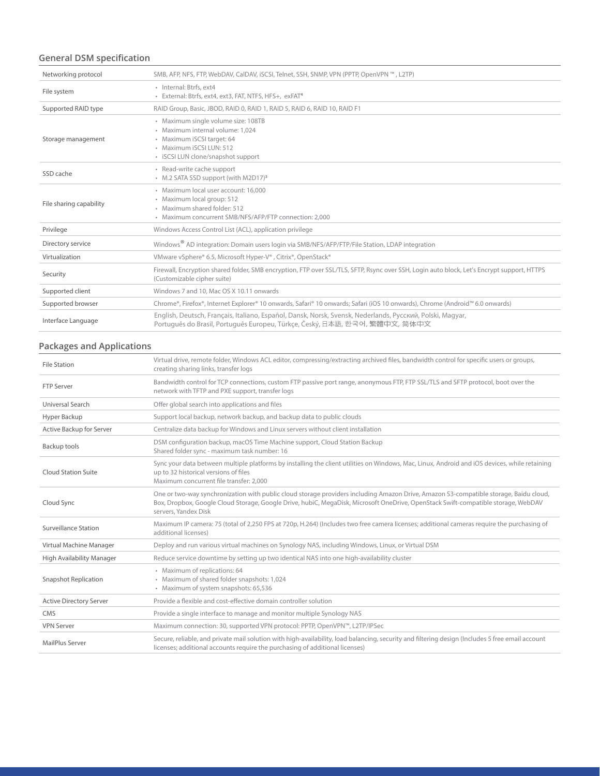#### **General DSM specification**

| Networking protocol     | SMB, AFP, NFS, FTP, WebDAV, CalDAV, iSCSI, Telnet, SSH, SNMP, VPN (PPTP, OpenVPN ™, L2TP)                                                                                                |  |  |  |  |
|-------------------------|------------------------------------------------------------------------------------------------------------------------------------------------------------------------------------------|--|--|--|--|
| File system             | · Internal: Btrfs, ext4<br>· External: Btrfs, ext4, ext3, FAT, NTFS, HFS+, exFAT <sup>4</sup>                                                                                            |  |  |  |  |
| Supported RAID type     | RAID Group, Basic, JBOD, RAID 0, RAID 1, RAID 5, RAID 6, RAID 10, RAID F1                                                                                                                |  |  |  |  |
| Storage management      | · Maximum single volume size: 108TB<br>· Maximum internal volume: 1.024<br>· Maximum iSCSI target: 64<br>· Maximum iSCSI LUN: 512<br>· iSCSI LUN clone/snapshot support                  |  |  |  |  |
| SSD cache               | · Read-write cache support<br>• M.2 SATA SSD support (with M2D17) <sup>3</sup>                                                                                                           |  |  |  |  |
| File sharing capability | · Maximum local user account: 16,000<br>· Maximum local group: 512<br>· Maximum shared folder: 512<br>• Maximum concurrent SMB/NFS/AFP/FTP connection: 2.000                             |  |  |  |  |
| Privilege               | Windows Access Control List (ACL), application privilege                                                                                                                                 |  |  |  |  |
| Directory service       | Windows <sup>®</sup> AD integration: Domain users login via SMB/NFS/AFP/FTP/File Station, LDAP integration                                                                               |  |  |  |  |
| Virtualization          | VMware vSphere® 6.5, Microsoft Hyper-V®, Citrix®, OpenStack®                                                                                                                             |  |  |  |  |
| Security                | Firewall, Encryption shared folder, SMB encryption, FTP over SSL/TLS, SFTP, Rsync over SSH, Login auto block, Let's Encrypt support, HTTPS<br>(Customizable cipher suite)                |  |  |  |  |
| Supported client        | Windows 7 and 10, Mac OS X 10.11 onwards                                                                                                                                                 |  |  |  |  |
| Supported browser       | Chrome®, Firefox®, Internet Explorer® 10 onwards, Safari® 10 onwards; Safari (iOS 10 onwards), Chrome (Android™ 6.0 onwards)                                                             |  |  |  |  |
| Interface Language      | English, Deutsch, Français, Italiano, Español, Dansk, Norsk, Svensk, Nederlands, Русский, Polski, Magyar,<br>Português do Brasil, Português Europeu, Türkçe, Český, 日本語, 한국어, 繁體中文, 简体中文 |  |  |  |  |

#### **Packages and Applications**

| <b>File Station</b>            | Virtual drive, remote folder, Windows ACL editor, compressing/extracting archived files, bandwidth control for specific users or groups,<br>creating sharing links, transfer logs                                                                                                                  |  |  |  |  |
|--------------------------------|----------------------------------------------------------------------------------------------------------------------------------------------------------------------------------------------------------------------------------------------------------------------------------------------------|--|--|--|--|
| <b>FTP Server</b>              | Bandwidth control for TCP connections, custom FTP passive port range, anonymous FTP, FTP SSL/TLS and SFTP protocol, boot over the<br>network with TFTP and PXE support, transfer logs                                                                                                              |  |  |  |  |
| Universal Search               | Offer global search into applications and files                                                                                                                                                                                                                                                    |  |  |  |  |
| Hyper Backup                   | Support local backup, network backup, and backup data to public clouds                                                                                                                                                                                                                             |  |  |  |  |
| Active Backup for Server       | Centralize data backup for Windows and Linux servers without client installation                                                                                                                                                                                                                   |  |  |  |  |
| Backup tools                   | DSM configuration backup, macOS Time Machine support, Cloud Station Backup<br>Shared folder sync - maximum task number: 16                                                                                                                                                                         |  |  |  |  |
| <b>Cloud Station Suite</b>     | Sync your data between multiple platforms by installing the client utilities on Windows, Mac, Linux, Android and iOS devices, while retaining<br>up to 32 historical versions of files<br>Maximum concurrent file transfer: 2,000                                                                  |  |  |  |  |
| Cloud Sync                     | One or two-way synchronization with public cloud storage providers including Amazon Drive, Amazon S3-compatible storage, Baidu cloud,<br>Box, Dropbox, Google Cloud Storage, Google Drive, hubiC, MegaDisk, Microsoft OneDrive, OpenStack Swift-compatible storage, WebDAV<br>servers, Yandex Disk |  |  |  |  |
| Surveillance Station           | Maximum IP camera: 75 (total of 2,250 FPS at 720p, H.264) (Includes two free camera licenses; additional cameras require the purchasing of<br>additional licenses)                                                                                                                                 |  |  |  |  |
| Virtual Machine Manager        | Deploy and run various virtual machines on Synology NAS, including Windows, Linux, or Virtual DSM                                                                                                                                                                                                  |  |  |  |  |
| High Availability Manager      | Reduce service downtime by setting up two identical NAS into one high-availability cluster                                                                                                                                                                                                         |  |  |  |  |
| <b>Snapshot Replication</b>    | · Maximum of replications: 64<br>• Maximum of shared folder snapshots: 1,024<br>· Maximum of system snapshots: 65,536                                                                                                                                                                              |  |  |  |  |
| <b>Active Directory Server</b> | Provide a flexible and cost-effective domain controller solution                                                                                                                                                                                                                                   |  |  |  |  |
| CMS                            | Provide a single interface to manage and monitor multiple Synology NAS                                                                                                                                                                                                                             |  |  |  |  |
| <b>VPN Server</b>              | Maximum connection: 30, supported VPN protocol: PPTP, OpenVPN™, L2TP/IPSec                                                                                                                                                                                                                         |  |  |  |  |
| MailPlus Server                | Secure, reliable, and private mail solution with high-availability, load balancing, security and filtering design (Includes 5 free email account<br>licenses; additional accounts require the purchasing of additional licenses)                                                                   |  |  |  |  |